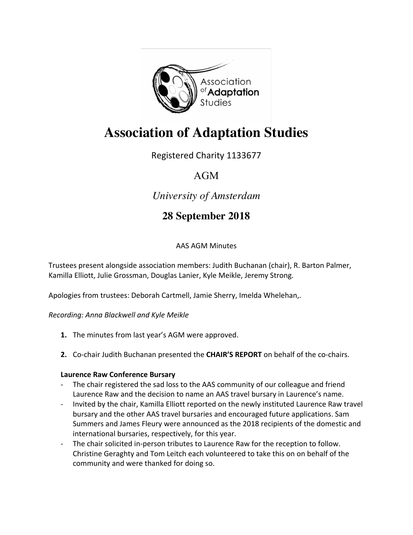

# **Association of Adaptation Studies**

Registered Charity 1133677

# AGM

# *University of Amsterdam*

# **28 September 2018**

# **AAS AGM Minutes**

Trustees present alongside association members: Judith Buchanan (chair), R. Barton Palmer, Kamilla Elliott, Julie Grossman, Douglas Lanier, Kyle Meikle, Jeremy Strong.

Apologies from trustees: Deborah Cartmell, Jamie Sherry, Imelda Whelehan,.

*Recording: Anna Blackwell and Kyle Meikle*

- **1.** The minutes from last year's AGM were approved.
- **2.** Co-chair Judith Buchanan presented the **CHAIR'S REPORT** on behalf of the co-chairs.

### **Laurence Raw Conference Bursary**

- The chair registered the sad loss to the AAS community of our colleague and friend Laurence Raw and the decision to name an AAS travel bursary in Laurence's name.
- Invited by the chair, Kamilla Elliott reported on the newly instituted Laurence Raw travel bursary and the other AAS travel bursaries and encouraged future applications. Sam Summers and James Fleury were announced as the 2018 recipients of the domestic and international bursaries, respectively, for this year.
- The chair solicited in-person tributes to Laurence Raw for the reception to follow. Christine Geraghty and Tom Leitch each volunteered to take this on on behalf of the community and were thanked for doing so.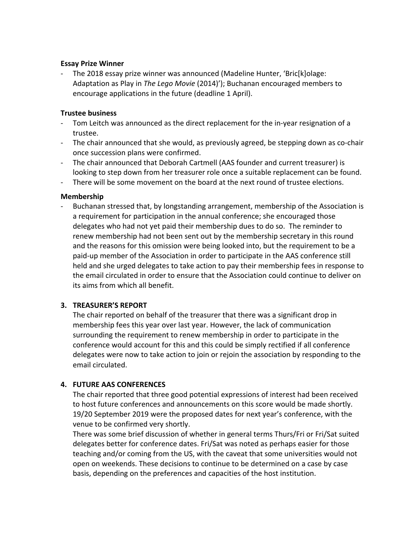#### **Essay Prize Winner**

- The 2018 essay prize winner was announced (Madeline Hunter, 'Bric[k]olage: Adaptation as Play in *The Lego Movie* (2014)'); Buchanan encouraged members to encourage applications in the future (deadline 1 April).

#### **Trustee business**

- Tom Leitch was announced as the direct replacement for the in-year resignation of a trustee.
- The chair announced that she would, as previously agreed, be stepping down as co-chair once succession plans were confirmed.
- The chair announced that Deborah Cartmell (AAS founder and current treasurer) is looking to step down from her treasurer role once a suitable replacement can be found.
- There will be some movement on the board at the next round of trustee elections.

#### **Membership**

Buchanan stressed that, by longstanding arrangement, membership of the Association is a requirement for participation in the annual conference; she encouraged those delegates who had not yet paid their membership dues to do so. The reminder to renew membership had not been sent out by the membership secretary in this round and the reasons for this omission were being looked into, but the requirement to be a paid-up member of the Association in order to participate in the AAS conference still held and she urged delegates to take action to pay their membership fees in response to the email circulated in order to ensure that the Association could continue to deliver on its aims from which all benefit.

#### **3. TREASURER'S REPORT**

The chair reported on behalf of the treasurer that there was a significant drop in membership fees this year over last year. However, the lack of communication surrounding the requirement to renew membership in order to participate in the conference would account for this and this could be simply rectified if all conference delegates were now to take action to join or rejoin the association by responding to the email circulated.

#### **4. FUTURE AAS CONFERENCES**

The chair reported that three good potential expressions of interest had been received to host future conferences and announcements on this score would be made shortly. 19/20 September 2019 were the proposed dates for next year's conference, with the venue to be confirmed very shortly.

There was some brief discussion of whether in general terms Thurs/Fri or Fri/Sat suited delegates better for conference dates. Fri/Sat was noted as perhaps easier for those teaching and/or coming from the US, with the caveat that some universities would not open on weekends. These decisions to continue to be determined on a case by case basis, depending on the preferences and capacities of the host institution.